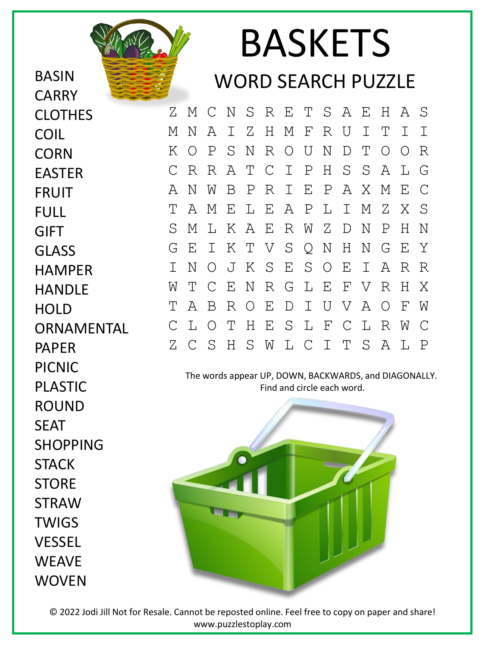BASIN **CARRY** CLOTHES COIL **CORN** EASTER FRUIT FULL GIFT GLASS HAMPER HANDLE **HOLD ORNAMENTAL** PAPER PICNIC PLASTIC ROUND SEAT SHOPPING **STACK STORF** STRAW **TWIGS** VESSEL **WEAVE WOVEN** 

## BASKETS WORD SEARCH PUZZLE

Z M C N S R E T S A E H A S M N A I Z H M F R U I T I I K O P S N R O U N D T O O R C R R A T C I P H S S A L G A N W B P R I E P A X M E C T A M E L E A P L I M Z X S S M L K A E R W Z D N P H N G E I K T V S Q N H N G E Y I N O J K S E S O E I A R R W T C E N R G L E F V R H X T A B R O E D I U V A O F W C L O T H E S L F C L R W C Z C S H S W L C I T S A L P

The words appear UP, DOWN, BACKWARDS, and DIAGONALLY. Find and circle each word.



© 2022 Jodi Jill Not for Resale. Cannot be reposted online. Feel free to copy on paper and share! www.puzzlestoplay.com